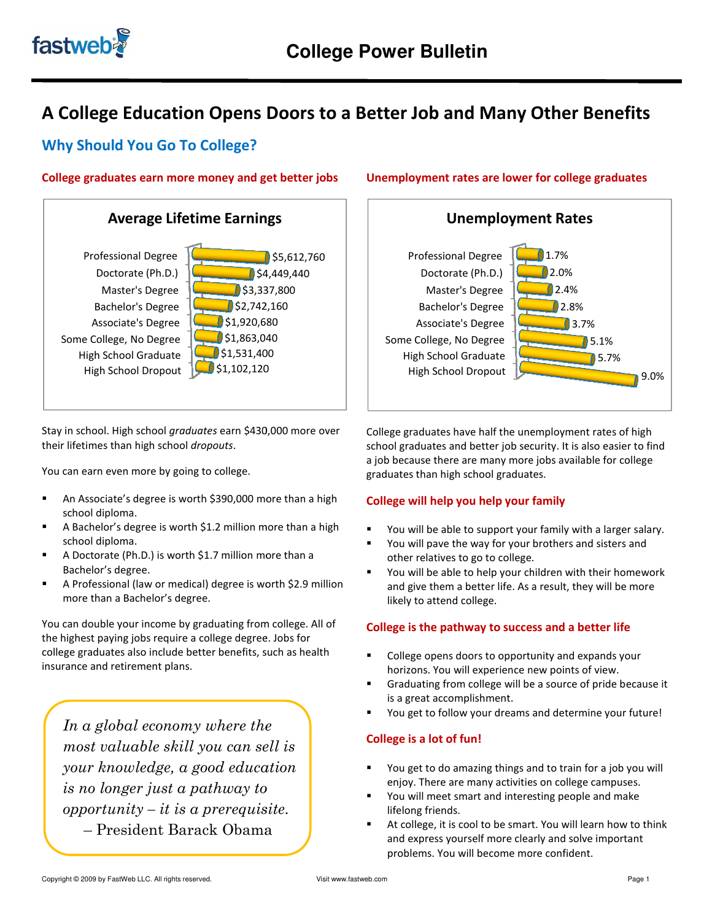

# A College Education Opens Doors to a Better Job and Many Other Benefits

# Why Should You Go To College?

## College graduates earn more money and get better jobs



Stay in school. High school graduates earn \$430,000 more over their lifetimes than high school dropouts.

You can earn even more by going to college.

- school diploma.
- An Associate's degree is worth \$390,000 more than a high<br>
school diploma.<br>
 A Bachelor's degree is worth \$1.2 million more than a high<br>
school diploma.<br>
 A Doctorate (Ph.D.) is worth \$1.7 million more than a<br>
Bachelor A Bachelor's degree is worth \$1.2 million more than a high school diploma.
- A Doctorate (Ph.D.) is worth \$1.7 million more than a Bachelor's degree.
- A Professional (law or medical) degree is worth \$ more than a Bachelor's degree.

You can double your income by graduating from college. All of the highest paying jobs require a college degree. degree. Jobs for college graduates also include better benefits, such as health insurance and retirement plans.

In a global economy where the most valuable skill you can sell is your knowledge, a good education is no longer just a pathway to  $opportunity - it is a prerequisite.$  – President Barack Obama economy where the<br>ble skill you can sell is<br>edge, a good education<br>· just a pathway to<br>· – it is a prerequisite.

# Unemployment rates are lower for college graduates



College graduates have half the unemployment rates of high school graduates and better job security. It is also easier to find a job because there are many more jobs available for college<br>graduates than high school graduates. graduates than high school graduates.

## College will help you help your family

- You will be able to support your family with a larger salary.
- You will pave the way for your brothers and sisters and other relatives to go to college.
- **Theoral You will be able to help your children with their homework** and give them a better life. As a result, they will be more likely to attend college. the way for your brothers and sisters and<br>s to go to college.<br>le to help your children with their homewor<br>n a better life. As a result, they will be more

# College is the pathway to success and a better life

- College opens doors to opportunity and expands your horizons. You will experience new points of view.
- Graduating from college will be a source of pride because it is a great accomplishment. If a Graduating from college will be a source of pride because if<br>is a great accomplishment.<br>You get to follow your dreams and determine your future!
- 

## College is a lot of fun!

- **Theoral Starf** You get to do amazing things and to train for a job you will enjoy. There are many activities on college campuses.
- You will meet smart and interesting people and make lifelong friends. ■ You will meet smart and interesting people and make<br>
■ You will meet smart and interesting people and make<br>
lifelong friends.<br>
■ At college, it is cool to be smart. You will learn how to think
- and express yourself more clearly and solve important problems. You will become more confident.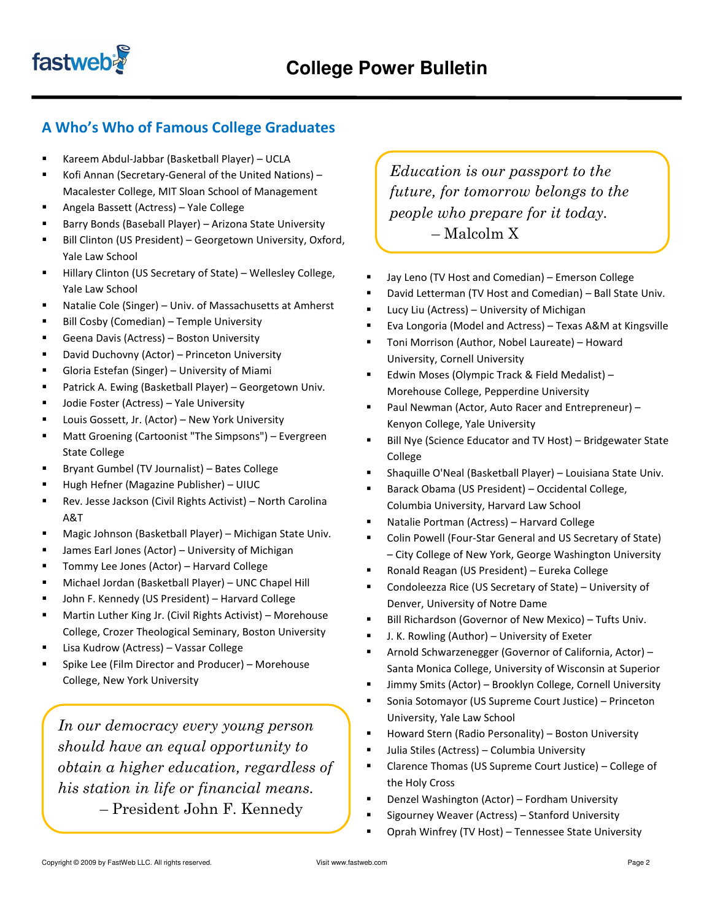

# A Who's Who of Famous College Graduates

- Kareem Abdul-Jabbar (Basketball Player) UCLA
- Kofi Annan (Secretary-General of the United Nations) Macalester College, MIT Sloan School of Management
- Angela Bassett (Actress) Yale College
- Barry Bonds (Baseball Player) Arizona State University
- Bill Clinton (US President) Georgetown University, Oxford, Yale Law School
- Hillary Clinton (US Secretary of State) Wellesley College, Yale Law School
- Natalie Cole (Singer) Univ. of Massachusetts at Amherst
- **Bill Cosby (Comedian) Temple University**
- Geena Davis (Actress) Boston University
- **-** David Duchovny (Actor) Princeton University
- Gloria Estefan (Singer) University of Miami
- Patrick A. Ewing (Basketball Player) Georgetown Univ.
- Jodie Foster (Actress) Yale University
- **E** Louis Gossett, Jr. (Actor) New York University
- Matt Groening (Cartoonist "The Simpsons") Evergreen State College
- Bryant Gumbel (TV Journalist) Bates College
- Hugh Hefner (Magazine Publisher) UIUC
- Rev. Jesse Jackson (Civil Rights Activist) North Carolina A&T
- Magic Johnson (Basketball Player) Michigan State Univ.
- James Earl Jones (Actor) University of Michigan
- Tommy Lee Jones (Actor) Harvard College
- Michael Jordan (Basketball Player) UNC Chapel Hill
- John F. Kennedy (US President) Harvard College
- Martin Luther King Jr. (Civil Rights Activist) Morehouse College, Crozer Theological Seminary, Boston University
- Lisa Kudrow (Actress) Vassar College
- Spike Lee (Film Director and Producer) Morehouse College, New York University

In our democracy every young person should have an equal opportunity to obtain a higher education, regardless of his station in life or financial means. – President John F. Kennedy

Education is our passport to the future, for tomorrow belongs to the people who prepare for it today. – Malcolm X

- Jay Leno (TV Host and Comedian) Emerson College
- David Letterman (TV Host and Comedian) Ball State Univ.
- **Lucy Liu (Actress) University of Michigan**
- Eva Longoria (Model and Actress) Texas A&M at Kingsville
- Toni Morrison (Author, Nobel Laureate) Howard University, Cornell University
- Edwin Moses (Olympic Track & Field Medalist) Morehouse College, Pepperdine University
- Paul Newman (Actor, Auto Racer and Entrepreneur) Kenyon College, Yale University
- Bill Nye (Science Educator and TV Host) Bridgewater State College
- Shaquille O'Neal (Basketball Player) Louisiana State Univ.
- Barack Obama (US President) Occidental College, Columbia University, Harvard Law School
- Natalie Portman (Actress) Harvard College
- Colin Powell (Four-Star General and US Secretary of State) – City College of New York, George Washington University
- Ronald Reagan (US President) Eureka College
- Condoleezza Rice (US Secretary of State) University of Denver, University of Notre Dame
- Bill Richardson (Governor of New Mexico) Tufts Univ.
- J. K. Rowling (Author) University of Exeter
- Arnold Schwarzenegger (Governor of California, Actor) Santa Monica College, University of Wisconsin at Superior
- Jimmy Smits (Actor) Brooklyn College, Cornell University
- Sonia Sotomayor (US Supreme Court Justice) Princeton University, Yale Law School
- **Howard Stern (Radio Personality) Boston University**
- Julia Stiles (Actress) Columbia University
- Clarence Thomas (US Supreme Court Justice) College of the Holy Cross
- Denzel Washington (Actor) Fordham University
- Sigourney Weaver (Actress) Stanford University
- Oprah Winfrey (TV Host) Tennessee State University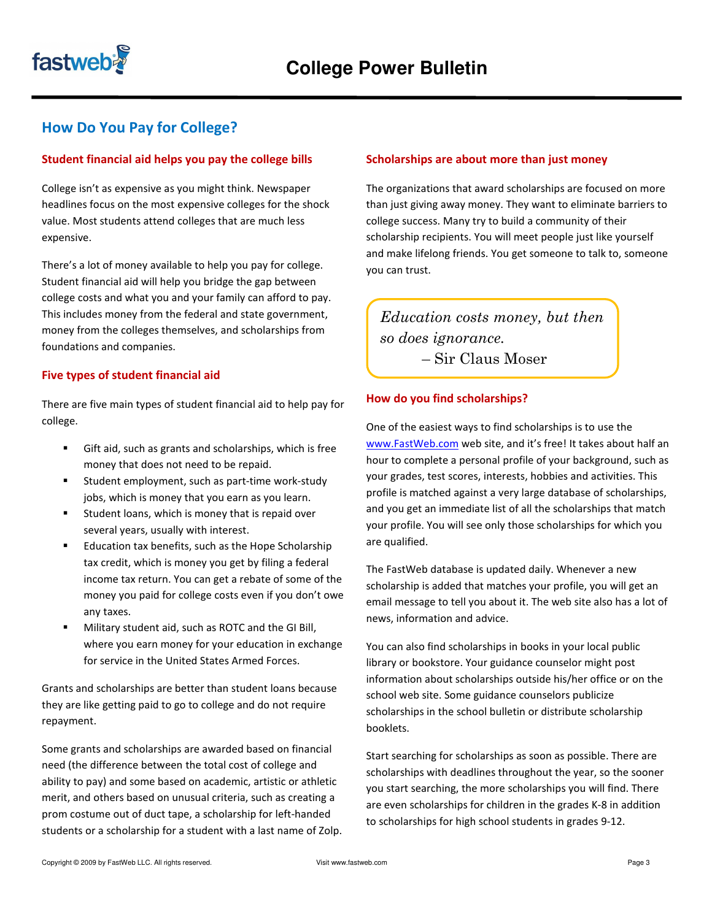

# How Do You Pay for College?

## Student financial aid helps you pay the college bills

College isn't as expensive as you might think. Newspaper headlines focus on the most expensive colleges for the shock value. Most students attend colleges that are much less expensive.

There's a lot of money available to help you pay for college. Student financial aid will help you bridge the gap between college costs and what you and your family can afford to pay. This includes money from the federal and state government, money from the colleges themselves, and scholarships from foundations and companies.

### Five types of student financial aid

There are five main types of student financial aid to help pay for college.

- Gift aid, such as grants and scholarships, which is free money that does not need to be repaid.
- Student employment, such as part-time work-study jobs, which is money that you earn as you learn.
- **EXECT** Student loans, which is money that is repaid over several years, usually with interest.
- Education tax benefits, such as the Hope Scholarship tax credit, which is money you get by filing a federal income tax return. You can get a rebate of some of the money you paid for college costs even if you don't owe any taxes.
- Military student aid, such as ROTC and the GI Bill, where you earn money for your education in exchange for service in the United States Armed Forces.

Grants and scholarships are better than student loans because they are like getting paid to go to college and do not require repayment.

Some grants and scholarships are awarded based on financial need (the difference between the total cost of college and ability to pay) and some based on academic, artistic or athletic merit, and others based on unusual criteria, such as creating a prom costume out of duct tape, a scholarship for left-handed students or a scholarship for a student with a last name of Zolp.

#### Scholarships are about more than just money

The organizations that award scholarships are focused on more than just giving away money. They want to eliminate barriers to college success. Many try to build a community of their scholarship recipients. You will meet people just like yourself and make lifelong friends. You get someone to talk to, someone you can trust.

Education costs money, but then so does ignorance. – Sir Claus Moser

#### How do you find scholarships?

One of the easiest ways to find scholarships is to use the www.FastWeb.com web site, and it's free! It takes about half an hour to complete a personal profile of your background, such as your grades, test scores, interests, hobbies and activities. This profile is matched against a very large database of scholarships, and you get an immediate list of all the scholarships that match your profile. You will see only those scholarships for which you are qualified.

The FastWeb database is updated daily. Whenever a new scholarship is added that matches your profile, you will get an email message to tell you about it. The web site also has a lot of news, information and advice.

You can also find scholarships in books in your local public library or bookstore. Your guidance counselor might post information about scholarships outside his/her office or on the school web site. Some guidance counselors publicize scholarships in the school bulletin or distribute scholarship booklets.

Start searching for scholarships as soon as possible. There are scholarships with deadlines throughout the year, so the sooner you start searching, the more scholarships you will find. There are even scholarships for children in the grades K-8 in addition to scholarships for high school students in grades 9-12.